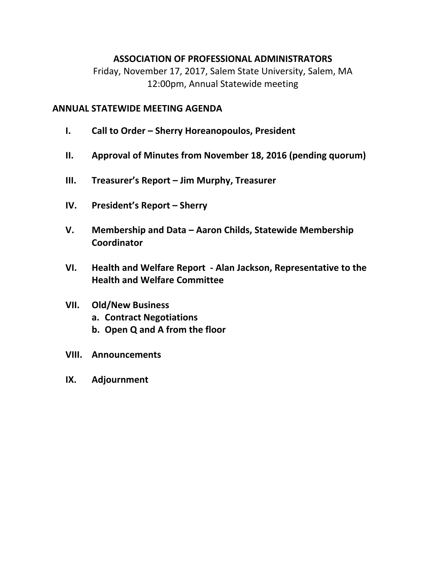## **ASSOCIATION OF PROFESSIONAL ADMINISTRATORS**

Friday, November 17, 2017, Salem State University, Salem, MA 12:00pm, Annual Statewide meeting

## **ANNUAL STATEWIDE MEETING AGENDA**

- **I. Call to Order Sherry Horeanopoulos, President**
- **II. Approval of Minutes from November 18, 2016 (pending quorum)**
- **III. Treasurer's Report Jim Murphy, Treasurer**
- **IV. President's Report Sherry**
- **V. Membership and Data Aaron Childs, Statewide Membership Coordinator**
- **VI. Health and Welfare Report ‐ Alan Jackson, Representative to the Health and Welfare Committee**

## **VII. Old/New Business**

- **a. Contract Negotiations**
- **b. Open Q and A from the floor**
- **VIII. Announcements**
- **IX. Adjournment**